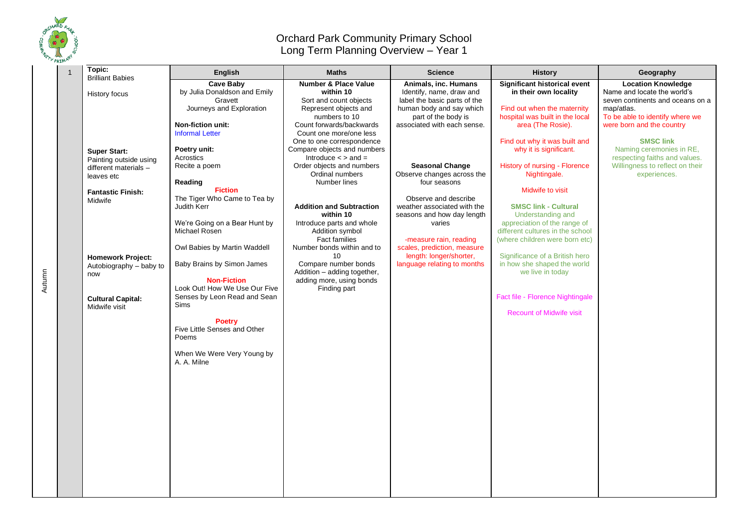

Autumn

## Orchard Park Community Primary School Long Term Planning Overview – Year 1

| <b>Cave Baby</b><br><b>Number &amp; Place Value</b><br>Animals, inc. Humans<br>Significant historical event<br>by Julia Donaldson and Emily<br>in their own locality<br>within 10<br>Identify, name, draw and<br>History focus<br>Gravett<br>Sort and count objects<br>label the basic parts of the<br>Journeys and Exploration<br>Represent objects and<br>human body and say which<br>Find out when the maternity<br>map/atlas.<br>numbers to 10<br>part of the body is<br>hospital was built in the local<br><b>Non-fiction unit:</b><br>Count forwards/backwards<br>associated with each sense.<br>area (The Rosie).<br><b>Informal Letter</b><br>Count one more/one less<br>Find out why it was built and<br>One to one correspondence<br>Poetry unit:<br>Compare objects and numbers<br>why it is significant.<br><b>Super Start:</b><br>Acrostics<br>Introduce $\lt$ > and =<br>Painting outside using<br>Order objects and numbers<br><b>Seasonal Change</b><br>History of nursing - Florence<br>Recite a poem<br>different materials -<br>Ordinal numbers<br>Observe changes across the<br>Nightingale.<br>leaves etc<br>Reading<br>Number lines<br>four seasons<br><b>Fiction</b><br>Midwife to visit<br><b>Fantastic Finish:</b> | Topic:                  | <b>English</b>               | <b>Maths</b> | <b>Science</b>       | <b>History</b> | Geography                                                                                                                                                                                                                                                                                        |
|---------------------------------------------------------------------------------------------------------------------------------------------------------------------------------------------------------------------------------------------------------------------------------------------------------------------------------------------------------------------------------------------------------------------------------------------------------------------------------------------------------------------------------------------------------------------------------------------------------------------------------------------------------------------------------------------------------------------------------------------------------------------------------------------------------------------------------------------------------------------------------------------------------------------------------------------------------------------------------------------------------------------------------------------------------------------------------------------------------------------------------------------------------------------------------------------------------------------------------------------|-------------------------|------------------------------|--------------|----------------------|----------------|--------------------------------------------------------------------------------------------------------------------------------------------------------------------------------------------------------------------------------------------------------------------------------------------------|
| Midwife<br><b>Addition and Subtraction</b><br><b>SMSC link - Cultural</b><br>Judith Kerr<br>weather associated with the<br>within 10<br>seasons and how day length<br>Understanding and<br>We're Going on a Bear Hunt by<br>appreciation of the range of<br>Introduce parts and whole<br>varies<br>Michael Rosen<br>different cultures in the school<br>Addition symbol<br><b>Fact families</b><br>-measure rain, reading<br>(where children were born etc)<br>Owl Babies by Martin Waddell<br>Number bonds within and to<br>scales, prediction, measure<br>length: longer/shorter,<br>10<br>Significance of a British hero<br><b>Homework Project:</b><br>Baby Brains by Simon James<br>Compare number bonds<br>language relating to months<br>in how she shaped the world<br>Autobiography - baby to<br>Addition - adding together,<br>we live in today<br>now<br><b>Non-Fiction</b><br>adding more, using bonds<br>Look Out! How We Use Our Five<br>Finding part<br>Senses by Leon Read and Sean<br>Fact file - Florence Nightingale<br><b>Cultural Capital:</b><br>Sims<br>Midwife visit<br><b>Recount of Midwife visit</b><br><b>Poetry</b><br>Five Little Senses and Other<br>Poems<br>When We Were Very Young by<br>A. A. Milne      | <b>Brilliant Babies</b> | The Tiger Who Came to Tea by |              | Observe and describe |                | <b>Location Knowledge</b><br>Name and locate the world's<br>seven continents and oceans on a<br>To be able to identify where we<br>were born and the country<br><b>SMSC link</b><br>Naming ceremonies in RE,<br>respecting faiths and values.<br>Willingness to reflect on their<br>experiences. |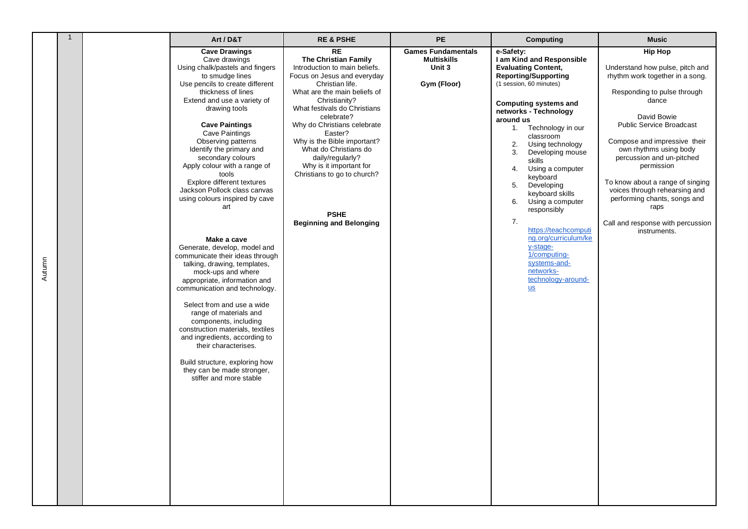|        | $\overline{1}$ | Art / D&T                                                                                                                                                                                                                                                                                                                                                                                                                                                                                                                                                                                                                                                                                                                                                                                                                                                                                                                                                       | <b>RE &amp; PSHE</b>                                                                                                                                                                                                                                                                                                                                                                                                                                 | PE                                                                       | Computing                                                                                                                                                                                                                                                                                                                                                                                                                                                                                                                                                                  | <b>Music</b>                                                                                                                                                                                                                                                                                                                                                                                                                                          |
|--------|----------------|-----------------------------------------------------------------------------------------------------------------------------------------------------------------------------------------------------------------------------------------------------------------------------------------------------------------------------------------------------------------------------------------------------------------------------------------------------------------------------------------------------------------------------------------------------------------------------------------------------------------------------------------------------------------------------------------------------------------------------------------------------------------------------------------------------------------------------------------------------------------------------------------------------------------------------------------------------------------|------------------------------------------------------------------------------------------------------------------------------------------------------------------------------------------------------------------------------------------------------------------------------------------------------------------------------------------------------------------------------------------------------------------------------------------------------|--------------------------------------------------------------------------|----------------------------------------------------------------------------------------------------------------------------------------------------------------------------------------------------------------------------------------------------------------------------------------------------------------------------------------------------------------------------------------------------------------------------------------------------------------------------------------------------------------------------------------------------------------------------|-------------------------------------------------------------------------------------------------------------------------------------------------------------------------------------------------------------------------------------------------------------------------------------------------------------------------------------------------------------------------------------------------------------------------------------------------------|
| Autumn |                | <b>Cave Drawings</b><br>Cave drawings<br>Using chalk/pastels and fingers<br>to smudge lines<br>Use pencils to create different<br>thickness of lines<br>Extend and use a variety of<br>drawing tools<br><b>Cave Paintings</b><br><b>Cave Paintings</b><br>Observing patterns<br>Identify the primary and<br>secondary colours<br>Apply colour with a range of<br>tools<br>Explore different textures<br>Jackson Pollock class canvas<br>using colours inspired by cave<br>art<br>Make a cave<br>Generate, develop, model and<br>communicate their ideas through<br>talking, drawing, templates,<br>mock-ups and where<br>appropriate, information and<br>communication and technology.<br>Select from and use a wide<br>range of materials and<br>components, including<br>construction materials, textiles<br>and ingredients, according to<br>their characterises.<br>Build structure, exploring how<br>they can be made stronger,<br>stiffer and more stable | <b>RE</b><br>The Christian Family<br>Introduction to main beliefs.<br>Focus on Jesus and everyday<br>Christian life.<br>What are the main beliefs of<br>Christianity?<br>What festivals do Christians<br>celebrate?<br>Why do Christians celebrate<br>Easter?<br>Why is the Bible important?<br>What do Christians do<br>daily/regularly?<br>Why is it important for<br>Christians to go to church?<br><b>PSHE</b><br><b>Beginning and Belonging</b> | <b>Games Fundamentals</b><br><b>Multiskills</b><br>Unit 3<br>Gym (Floor) | e-Safety:<br>I am Kind and Responsible<br><b>Evaluating Content,</b><br><b>Reporting/Supporting</b><br>(1 session, 60 minutes)<br><b>Computing systems and</b><br>networks - Technology<br>around us<br>1. Technology in our<br>classroom<br>2.<br>Using technology<br>3.<br>Developing mouse<br>skills<br>Using a computer<br>4.<br>keyboard<br>5.<br>Developing<br>keyboard skills<br>6.<br>Using a computer<br>responsibly<br>7.<br>https://teachcomputi<br>ng.org/curriculum/ke<br>y-stage-<br>1/computing-<br>systems-and-<br>networks-<br>technology-around-<br>$us$ | <b>Hip Hop</b><br>Understand how pulse, pitch and<br>rhythm work together in a song.<br>Responding to pulse through<br>dance<br>David Bowie<br><b>Public Service Broadcast</b><br>Compose and impressive their<br>own rhythms using body<br>percussion and un-pitched<br>permission<br>To know about a range of singing<br>voices through rehearsing and<br>performing chants, songs and<br>raps<br>Call and response with percussion<br>instruments. |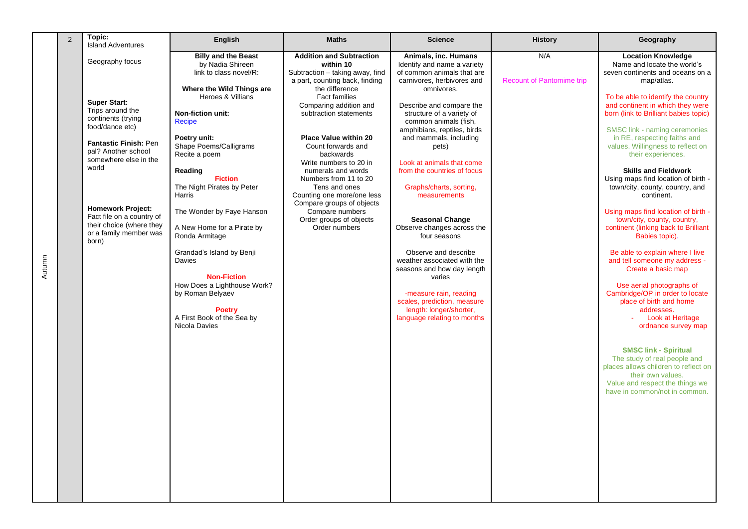|        | 2 | Topic:<br><b>Island Adventures</b>                                                                                                                                                                                                                                                                            | <b>English</b>                                                                                                                                                                                                                                                                                                                                                                                                                                                            | <b>Maths</b>                                                                                                                                                                                                                                                                                                                                                                                                                                                                                           | <b>Science</b>                                                                                                                                                                                                                                                                                                                                                                                                                                                                                                                                                  | <b>History</b>                          | Geography                                                                                                                                                                                                                                                                                                                                                                                                                                                                                                                                                                                                                                                                                                                               |
|--------|---|---------------------------------------------------------------------------------------------------------------------------------------------------------------------------------------------------------------------------------------------------------------------------------------------------------------|---------------------------------------------------------------------------------------------------------------------------------------------------------------------------------------------------------------------------------------------------------------------------------------------------------------------------------------------------------------------------------------------------------------------------------------------------------------------------|--------------------------------------------------------------------------------------------------------------------------------------------------------------------------------------------------------------------------------------------------------------------------------------------------------------------------------------------------------------------------------------------------------------------------------------------------------------------------------------------------------|-----------------------------------------------------------------------------------------------------------------------------------------------------------------------------------------------------------------------------------------------------------------------------------------------------------------------------------------------------------------------------------------------------------------------------------------------------------------------------------------------------------------------------------------------------------------|-----------------------------------------|-----------------------------------------------------------------------------------------------------------------------------------------------------------------------------------------------------------------------------------------------------------------------------------------------------------------------------------------------------------------------------------------------------------------------------------------------------------------------------------------------------------------------------------------------------------------------------------------------------------------------------------------------------------------------------------------------------------------------------------------|
| Autumn |   | Geography focus<br><b>Super Start:</b><br>Trips around the<br>continents (trying<br>food/dance etc)<br>Fantastic Finish: Pen<br>pal? Another school<br>somewhere else in the<br>world<br><b>Homework Project:</b><br>Fact file on a country of<br>their choice (where they<br>or a family member was<br>born) | <b>Billy and the Beast</b><br>by Nadia Shireen<br>link to class novel/R:<br>Where the Wild Things are<br>Heroes & Villians<br>Non-fiction unit:<br>Recipe<br>Poetry unit:<br>Shape Poems/Calligrams<br>Recite a poem<br>Reading<br><b>Fiction</b><br>The Night Pirates by Peter<br>Harris<br>The Wonder by Faye Hanson<br>A New Home for a Pirate by<br>Ronda Armitage<br>Grandad's Island by Benji<br><b>Davies</b><br><b>Non-Fiction</b><br>How Does a Lighthouse Work? | <b>Addition and Subtraction</b><br>within 10<br>Subtraction - taking away, find<br>a part, counting back, finding<br>the difference<br><b>Fact families</b><br>Comparing addition and<br>subtraction statements<br><b>Place Value within 20</b><br>Count forwards and<br>backwards<br>Write numbers to 20 in<br>numerals and words<br>Numbers from 11 to 20<br>Tens and ones<br>Counting one more/one less<br>Compare groups of objects<br>Compare numbers<br>Order groups of objects<br>Order numbers | Animals, inc. Humans<br>Identify and name a variety<br>of common animals that are<br>carnivores, herbivores and<br>omnivores.<br>Describe and compare the<br>structure of a variety of<br>common animals (fish,<br>amphibians, reptiles, birds<br>and mammals, including<br>pets)<br>Look at animals that come<br>from the countries of focus<br>Graphs/charts, sorting,<br>measurements<br><b>Seasonal Change</b><br>Observe changes across the<br>four seasons<br>Observe and describe<br>weather associated with the<br>seasons and how day length<br>varies | N/A<br><b>Recount of Pantomime trip</b> | <b>Location Knowledge</b><br>Name and locate the world's<br>seven continents and oceans on a<br>map/atlas.<br>To be able to identify the country<br>and continent in which they were<br>born (link to Brilliant babies topic)<br>SMSC link - naming ceremonies<br>in RE, respecting faiths and<br>values. Willingness to reflect on<br>their experiences.<br><b>Skills and Fieldwork</b><br>Using maps find location of birth -<br>town/city, county, country, and<br>continent.<br>Using maps find location of birth -<br>town/city, county, country,<br>continent (linking back to Brilliant<br>Babies topic).<br>Be able to explain where I live<br>and tell someone my address -<br>Create a basic map<br>Use aerial photographs of |
|        |   |                                                                                                                                                                                                                                                                                                               | by Roman Belyaev<br><b>Poetry</b><br>A First Book of the Sea by<br>Nicola Davies                                                                                                                                                                                                                                                                                                                                                                                          |                                                                                                                                                                                                                                                                                                                                                                                                                                                                                                        | -measure rain, reading<br>scales, prediction, measure<br>length: longer/shorter,<br>language relating to months                                                                                                                                                                                                                                                                                                                                                                                                                                                 |                                         | Cambridge/OP in order to locate<br>place of birth and home<br>addresses.<br>Look at Heritage<br>ordnance survey map<br><b>SMSC link - Spiritual</b><br>The study of real people and<br>places allows children to reflect on<br>their own values.<br>Value and respect the things we<br>have in common/not in common.                                                                                                                                                                                                                                                                                                                                                                                                                    |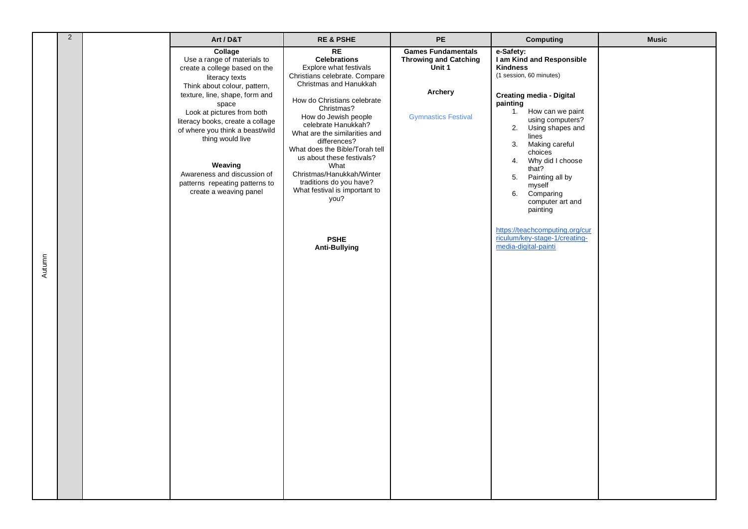|        | $\overline{2}$ | Art / D&T                                                                                                                                                                                                                                                                                                                                                                                           | <b>RE &amp; PSHE</b>                                                                                                                                                                                                                                                                                                                                                                                                                                                       | PE                                                                                                           | <b>Computing</b>                                                                                                                                                                                                                                                                                                                                                                                                                                                | <b>Music</b> |
|--------|----------------|-----------------------------------------------------------------------------------------------------------------------------------------------------------------------------------------------------------------------------------------------------------------------------------------------------------------------------------------------------------------------------------------------------|----------------------------------------------------------------------------------------------------------------------------------------------------------------------------------------------------------------------------------------------------------------------------------------------------------------------------------------------------------------------------------------------------------------------------------------------------------------------------|--------------------------------------------------------------------------------------------------------------|-----------------------------------------------------------------------------------------------------------------------------------------------------------------------------------------------------------------------------------------------------------------------------------------------------------------------------------------------------------------------------------------------------------------------------------------------------------------|--------------|
| Autumn |                | Collage<br>Use a range of materials to<br>create a college based on the<br>literacy texts<br>Think about colour, pattern,<br>texture, line, shape, form and<br>space<br>Look at pictures from both<br>literacy books, create a collage<br>of where you think a beast/wild<br>thing would live<br>Weaving<br>Awareness and discussion of<br>patterns repeating patterns to<br>create a weaving panel | RE<br><b>Celebrations</b><br>Explore what festivals<br>Christians celebrate. Compare<br>Christmas and Hanukkah<br>How do Christians celebrate<br>Christmas?<br>How do Jewish people<br>celebrate Hanukkah?<br>What are the similarities and<br>differences?<br>What does the Bible/Torah tell<br>us about these festivals?<br>What<br>Christmas/Hanukkah/Winter<br>traditions do you have?<br>What festival is important to<br>you?<br><b>PSHE</b><br><b>Anti-Bullying</b> | <b>Games Fundamentals</b><br><b>Throwing and Catching</b><br>Unit 1<br>Archery<br><b>Gymnastics Festival</b> | e-Safety:<br>I am Kind and Responsible<br><b>Kindness</b><br>(1 session, 60 minutes)<br><b>Creating media - Digital</b><br>painting<br>1. How can we paint<br>using computers?<br>2.<br>Using shapes and<br>lines<br>3. Making careful<br>choices<br>4. Why did I choose<br>that?<br>5. Painting all by<br>myself<br>Comparing<br>6.<br>computer art and<br>painting<br>https://teachcomputing.org/cur<br>riculum/key-stage-1/creating-<br>media-digital-painti |              |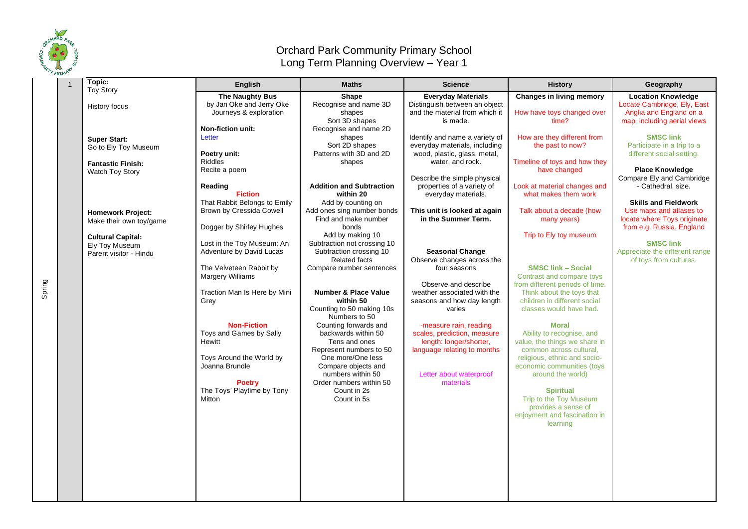

Spring

## Orchard Park Community Primary School Long Term Planning Overview – Year 1

| Topic:                                              | <b>English</b>                                     | <b>Maths</b>                                 | <b>Science</b>                                             | <b>History</b>                                               | Geography                                                |
|-----------------------------------------------------|----------------------------------------------------|----------------------------------------------|------------------------------------------------------------|--------------------------------------------------------------|----------------------------------------------------------|
| <b>Toy Story</b>                                    |                                                    |                                              |                                                            |                                                              |                                                          |
|                                                     | <b>The Naughty Bus</b><br>by Jan Oke and Jerry Oke | Shape<br>Recognise and name 3D               | <b>Everyday Materials</b><br>Distinguish between an object | <b>Changes in living memory</b>                              | <b>Location Knowledge</b><br>Locate Cambridge, Ely, East |
| History focus                                       | Journeys & exploration                             | shapes                                       | and the material from which it                             | How have toys changed over                                   | Anglia and England on a                                  |
|                                                     |                                                    | Sort 3D shapes                               | is made.                                                   | time?                                                        | map, including aerial views                              |
|                                                     | <b>Non-fiction unit:</b>                           | Recognise and name 2D                        |                                                            |                                                              |                                                          |
| <b>Super Start:</b>                                 | Letter                                             | shapes                                       | Identify and name a variety of                             | How are they different from                                  | <b>SMSC link</b>                                         |
| Go to Ely Toy Museum                                |                                                    | Sort 2D shapes                               | everyday materials, including                              | the past to now?                                             | Participate in a trip to a                               |
|                                                     | Poetry unit:                                       | Patterns with 3D and 2D                      | wood, plastic, glass, metal,                               |                                                              | different social setting.                                |
| <b>Fantastic Finish:</b>                            | <b>Riddles</b>                                     | shapes                                       | water, and rock.                                           | Timeline of toys and how they                                |                                                          |
| Watch Toy Story                                     | Recite a poem                                      |                                              |                                                            | have changed                                                 | <b>Place Knowledge</b>                                   |
|                                                     |                                                    |                                              | Describe the simple physical                               |                                                              | Compare Ely and Cambridge                                |
|                                                     | Reading<br><b>Fiction</b>                          | <b>Addition and Subtraction</b><br>within 20 | properties of a variety of                                 | Look at material changes and<br>what makes them work         | - Cathedral, size.                                       |
|                                                     | That Rabbit Belongs to Emily                       | Add by counting on                           | everyday materials.                                        |                                                              | <b>Skills and Fieldwork</b>                              |
|                                                     | Brown by Cressida Cowell                           | Add ones sing number bonds                   | This unit is looked at again                               | Talk about a decade (how                                     | Use maps and atlases to                                  |
| <b>Homework Project:</b><br>Make their own toy/game |                                                    | Find and make number                         | in the Summer Term.                                        | many years)                                                  | locate where Toys originate                              |
|                                                     | Dogger by Shirley Hughes                           | bonds                                        |                                                            |                                                              | from e.g. Russia, England                                |
| <b>Cultural Capital:</b>                            |                                                    | Add by making 10                             |                                                            | Trip to Ely toy museum                                       |                                                          |
| Ely Toy Museum                                      | Lost in the Toy Museum: An                         | Subtraction not crossing 10                  |                                                            |                                                              | <b>SMSC link</b>                                         |
| Parent visitor - Hindu                              | Adventure by David Lucas                           | Subtraction crossing 10                      | <b>Seasonal Change</b>                                     |                                                              | Appreciate the different range                           |
|                                                     |                                                    | <b>Related facts</b>                         | Observe changes across the                                 |                                                              | of toys from cultures.                                   |
|                                                     | The Velveteen Rabbit by                            | Compare number sentences                     | four seasons                                               | <b>SMSC link - Social</b>                                    |                                                          |
|                                                     | Margery Williams                                   |                                              | Observe and describe                                       | Contrast and compare toys<br>from different periods of time. |                                                          |
|                                                     | Traction Man Is Here by Mini                       | <b>Number &amp; Place Value</b>              | weather associated with the                                | Think about the toys that                                    |                                                          |
|                                                     | Grey                                               | within 50                                    | seasons and how day length                                 | children in different social                                 |                                                          |
|                                                     |                                                    | Counting to 50 making 10s                    | varies                                                     | classes would have had.                                      |                                                          |
|                                                     |                                                    | Numbers to 50                                |                                                            |                                                              |                                                          |
|                                                     | <b>Non-Fiction</b>                                 | Counting forwards and                        | -measure rain, reading                                     | <b>Moral</b>                                                 |                                                          |
|                                                     | Toys and Games by Sally                            | backwards within 50                          | scales, prediction, measure                                | Ability to recognise, and                                    |                                                          |
|                                                     | Hewitt                                             | Tens and ones                                | length: longer/shorter,                                    | value, the things we share in                                |                                                          |
|                                                     |                                                    | Represent numbers to 50                      | language relating to months                                | common across cultural,                                      |                                                          |
|                                                     | Toys Around the World by<br>Joanna Brundle         | One more/One less<br>Compare objects and     |                                                            | religious, ethnic and socio-<br>economic communities (toys   |                                                          |
|                                                     |                                                    | numbers within 50                            | Letter about waterproof                                    | around the world)                                            |                                                          |
|                                                     | <b>Poetry</b>                                      | Order numbers within 50                      | materials                                                  |                                                              |                                                          |
|                                                     | The Toys' Playtime by Tony                         | Count in 2s                                  |                                                            | <b>Spiritual</b>                                             |                                                          |
|                                                     | <b>Mitton</b>                                      | Count in 5s                                  |                                                            | Trip to the Toy Museum                                       |                                                          |
|                                                     |                                                    |                                              |                                                            | provides a sense of                                          |                                                          |
|                                                     |                                                    |                                              |                                                            | enjoyment and fascination in                                 |                                                          |
|                                                     |                                                    |                                              |                                                            | learning                                                     |                                                          |
|                                                     |                                                    |                                              |                                                            |                                                              |                                                          |
|                                                     |                                                    |                                              |                                                            |                                                              |                                                          |
|                                                     |                                                    |                                              |                                                            |                                                              |                                                          |
|                                                     |                                                    |                                              |                                                            |                                                              |                                                          |
|                                                     |                                                    |                                              |                                                            |                                                              |                                                          |
|                                                     |                                                    |                                              |                                                            |                                                              |                                                          |
|                                                     |                                                    |                                              |                                                            |                                                              |                                                          |
|                                                     |                                                    |                                              |                                                            |                                                              |                                                          |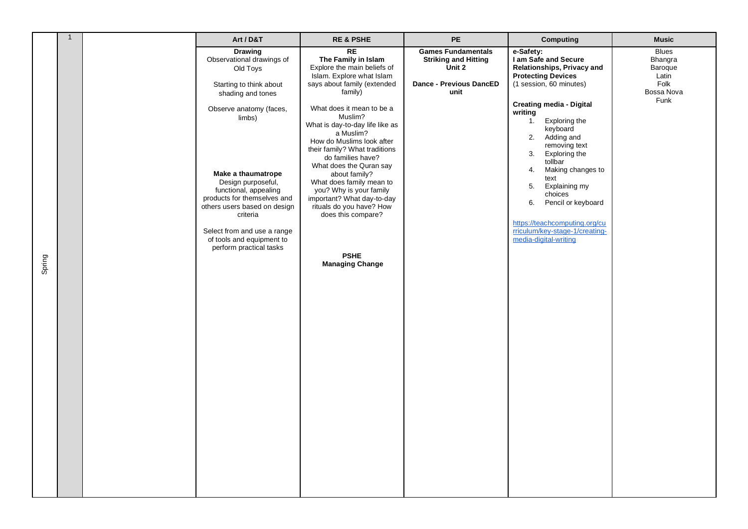|        | $\mathbf{1}$ | Art / D&T                                                                                                                                                                                                                                                                | <b>RE &amp; PSHE</b>                                                                                                                                                                                                                                                                                                                                                                                | PE                                                                 | <b>Computing</b>                                                                                                                                                                                                                                                                                                                                        | <b>Music</b>                                |
|--------|--------------|--------------------------------------------------------------------------------------------------------------------------------------------------------------------------------------------------------------------------------------------------------------------------|-----------------------------------------------------------------------------------------------------------------------------------------------------------------------------------------------------------------------------------------------------------------------------------------------------------------------------------------------------------------------------------------------------|--------------------------------------------------------------------|---------------------------------------------------------------------------------------------------------------------------------------------------------------------------------------------------------------------------------------------------------------------------------------------------------------------------------------------------------|---------------------------------------------|
|        |              | <b>Drawing</b><br>Observational drawings of<br>Old Toys                                                                                                                                                                                                                  | <b>RE</b><br>The Family in Islam<br>Explore the main beliefs of<br>Islam. Explore what Islam                                                                                                                                                                                                                                                                                                        | <b>Games Fundamentals</b><br><b>Striking and Hitting</b><br>Unit 2 | e-Safety:<br>I am Safe and Secure<br>Relationships, Privacy and<br><b>Protecting Devices</b>                                                                                                                                                                                                                                                            | <b>Blues</b><br>Bhangra<br>Baroque<br>Latin |
|        |              | Starting to think about<br>shading and tones                                                                                                                                                                                                                             | says about family (extended<br>family)                                                                                                                                                                                                                                                                                                                                                              | <b>Dance - Previous DancED</b><br>unit                             | (1 session, 60 minutes)                                                                                                                                                                                                                                                                                                                                 | Folk<br>Bossa Nova                          |
| Spring |              | Observe anatomy (faces,<br>limbs)<br>Make a thaumatrope<br>Design purposeful,<br>functional, appealing<br>products for themselves and<br>others users based on design<br>criteria<br>Select from and use a range<br>of tools and equipment to<br>perform practical tasks | What does it mean to be a<br>Muslim?<br>What is day-to-day life like as<br>a Muslim?<br>How do Muslims look after<br>their family? What traditions<br>do families have?<br>What does the Quran say<br>about family?<br>What does family mean to<br>you? Why is your family<br>important? What day-to-day<br>rituals do you have? How<br>does this compare?<br><b>PSHE</b><br><b>Managing Change</b> |                                                                    | <b>Creating media - Digital</b><br>writing<br>Exploring the<br>$\mathbf{1}$ .<br>keyboard<br>2. Adding and<br>removing text<br>3. Exploring the<br>tollbar<br>Making changes to<br>4.<br>text<br>5.<br>Explaining my<br>choices<br>6.<br>Pencil or keyboard<br>https://teachcomputing.org/cu<br>rriculum/key-stage-1/creating-<br>media-digital-writing | Funk                                        |
|        |              |                                                                                                                                                                                                                                                                          |                                                                                                                                                                                                                                                                                                                                                                                                     |                                                                    |                                                                                                                                                                                                                                                                                                                                                         |                                             |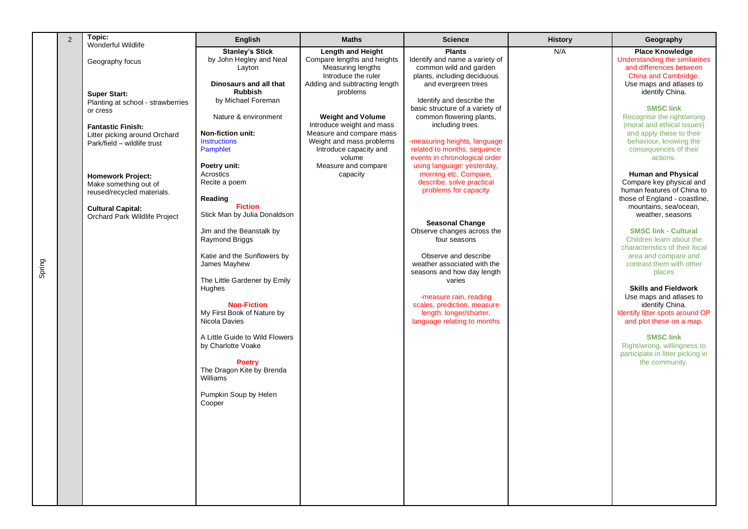| $\overline{2}$ | Topic:<br>Wonderful Wildlife      | English                                     | <b>Maths</b>                             | <b>Science</b>                                               | <b>History</b> | Geography                                                   |
|----------------|-----------------------------------|---------------------------------------------|------------------------------------------|--------------------------------------------------------------|----------------|-------------------------------------------------------------|
|                |                                   | <b>Stanley's Stick</b>                      | <b>Length and Height</b>                 | <b>Plants</b>                                                | N/A            | <b>Place Knowledge</b>                                      |
|                | Geography focus                   | by John Hegley and Neal                     | Compare lengths and heights              | Identify and name a variety of                               |                | Understanding the similarities                              |
|                |                                   | Layton                                      | Measuring lengths<br>Introduce the ruler | common wild and garden<br>plants, including deciduous        |                | and differences between<br>China and Cambridge.             |
|                |                                   | Dinosaurs and all that                      | Adding and subtracting length            | and evergreen trees                                          |                | Use maps and atlases to                                     |
|                | <b>Super Start:</b>               | <b>Rubbish</b>                              | problems                                 |                                                              |                | identify China.                                             |
|                | Planting at school - strawberries | by Michael Foreman                          |                                          | Identify and describe the                                    |                | <b>SMSC link</b>                                            |
|                | or cress                          | Nature & environment                        | <b>Weight and Volume</b>                 | basic structure of a variety of<br>common flowering plants,  |                | Recognise the right/wrong                                   |
|                | <b>Fantastic Finish:</b>          |                                             | Introduce weight and mass                | including trees.                                             |                | (moral and ethical issues)                                  |
|                | Litter picking around Orchard     | <b>Non-fiction unit:</b>                    | Measure and compare mass                 |                                                              |                | and apply these to their                                    |
|                | Park/field - wildlife trust       | <b>Instructions</b>                         | Weight and mass problems                 | -measuring heights, language                                 |                | behaviour, knowing the                                      |
|                |                                   | Pamphlet                                    | Introduce capacity and<br>volume         | related to months, sequence<br>events in chronological order |                | consequences of their<br>actions.                           |
|                |                                   | Poetry unit:                                | Measure and compare                      | using language: yesterday,                                   |                |                                                             |
|                | <b>Homework Project:</b>          | Acrostics                                   | capacity                                 | morning etc, Compare,                                        |                | <b>Human and Physical</b>                                   |
|                | Make something out of             | Recite a poem                               |                                          | describe, solve practical                                    |                | Compare key physical and                                    |
|                | reused/recycled materials.        | Reading                                     |                                          | problems for capacity                                        |                | human features of China to<br>those of England - coastline, |
|                | <b>Cultural Capital:</b>          | <b>Fiction</b>                              |                                          |                                                              |                | mountains, sea/ocean,                                       |
|                | Orchard Park Wildlife Project     | Stick Man by Julia Donaldson                |                                          |                                                              |                | weather, seasons                                            |
|                |                                   |                                             |                                          | <b>Seasonal Change</b>                                       |                |                                                             |
|                |                                   | Jim and the Beanstalk by<br>Raymond Briggs  |                                          | Observe changes across the<br>four seasons                   |                | <b>SMSC link - Cultural</b><br>Children learn about the     |
|                |                                   |                                             |                                          |                                                              |                | characteristics of their local                              |
|                |                                   | Katie and the Sunflowers by                 |                                          | Observe and describe                                         |                | area and compare and                                        |
|                |                                   | James Mayhew                                |                                          | weather associated with the                                  |                | contrast them with other                                    |
|                |                                   | The Little Gardener by Emily                |                                          | seasons and how day length<br>varies                         |                | places                                                      |
|                |                                   | Hughes                                      |                                          |                                                              |                | <b>Skills and Fieldwork</b>                                 |
|                |                                   |                                             |                                          | -measure rain, reading                                       |                | Use maps and atlases to                                     |
|                |                                   | <b>Non-Fiction</b>                          |                                          | scales, prediction, measure                                  |                | identify China.                                             |
|                |                                   | My First Book of Nature by<br>Nicola Davies |                                          | length: longer/shorter,<br>language relating to months       |                | Identify litter spots around OP<br>and plot these on a map. |
|                |                                   |                                             |                                          |                                                              |                |                                                             |
|                |                                   | A Little Guide to Wild Flowers              |                                          |                                                              |                | <b>SMSC link</b>                                            |
|                |                                   | by Charlotte Voake                          |                                          |                                                              |                | Right/wrong, willingness to                                 |
|                |                                   | <b>Poetry</b>                               |                                          |                                                              |                | participate in litter picking in<br>the community.          |
|                |                                   | The Dragon Kite by Brenda                   |                                          |                                                              |                |                                                             |
|                |                                   | Williams                                    |                                          |                                                              |                |                                                             |
|                |                                   |                                             |                                          |                                                              |                |                                                             |
|                |                                   | Pumpkin Soup by Helen<br>Cooper             |                                          |                                                              |                |                                                             |
|                |                                   |                                             |                                          |                                                              |                |                                                             |
|                |                                   |                                             |                                          |                                                              |                |                                                             |
|                |                                   |                                             |                                          |                                                              |                |                                                             |
|                |                                   |                                             |                                          |                                                              |                |                                                             |
|                |                                   |                                             |                                          |                                                              |                |                                                             |
|                |                                   |                                             |                                          |                                                              |                |                                                             |
|                |                                   |                                             |                                          |                                                              |                |                                                             |
|                |                                   |                                             |                                          |                                                              |                |                                                             |
|                |                                   |                                             |                                          |                                                              |                |                                                             |
|                |                                   |                                             |                                          |                                                              |                |                                                             |

Spring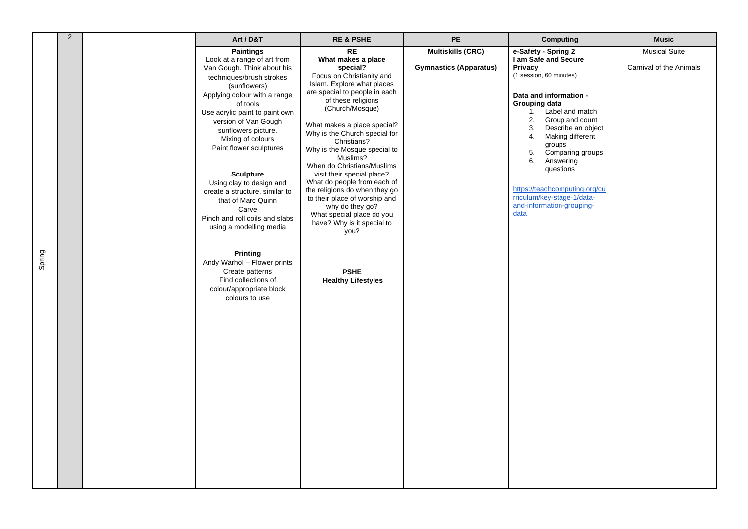|        | 2 | Art / D&T                                                                                                                                                                                                                                                                                                                                                                                                                                                                                                                                                                                                                      | <b>RE &amp; PSHE</b>                                                                                                                                                                                                                                                                                                                                                                                                                                                                                                                                                                                       | <b>PE</b>                                                 | <b>Computing</b>                                                                                                                                                                                                                                                                                                                                                                                             | <b>Music</b>                                    |
|--------|---|--------------------------------------------------------------------------------------------------------------------------------------------------------------------------------------------------------------------------------------------------------------------------------------------------------------------------------------------------------------------------------------------------------------------------------------------------------------------------------------------------------------------------------------------------------------------------------------------------------------------------------|------------------------------------------------------------------------------------------------------------------------------------------------------------------------------------------------------------------------------------------------------------------------------------------------------------------------------------------------------------------------------------------------------------------------------------------------------------------------------------------------------------------------------------------------------------------------------------------------------------|-----------------------------------------------------------|--------------------------------------------------------------------------------------------------------------------------------------------------------------------------------------------------------------------------------------------------------------------------------------------------------------------------------------------------------------------------------------------------------------|-------------------------------------------------|
| Spring |   | <b>Paintings</b><br>Look at a range of art from<br>Van Gough. Think about his<br>techniques/brush strokes<br>(sunflowers)<br>Applying colour with a range<br>of tools<br>Use acrylic paint to paint own<br>version of Van Gough<br>sunflowers picture.<br>Mixing of colours<br>Paint flower sculptures<br><b>Sculpture</b><br>Using clay to design and<br>create a structure, similar to<br>that of Marc Quinn<br>Carve<br>Pinch and roll coils and slabs<br>using a modelling media<br><b>Printing</b><br>Andy Warhol - Flower prints<br>Create patterns<br>Find collections of<br>colour/appropriate block<br>colours to use | <b>RE</b><br>What makes a place<br>special?<br>Focus on Christianity and<br>Islam. Explore what places<br>are special to people in each<br>of these religions<br>(Church/Mosque)<br>What makes a place special?<br>Why is the Church special for<br>Christians?<br>Why is the Mosque special to<br>Muslims?<br>When do Christians/Muslims<br>visit their special place?<br>What do people from each of<br>the religions do when they go<br>to their place of worship and<br>why do they go?<br>What special place do you<br>have? Why is it special to<br>you?<br><b>PSHE</b><br><b>Healthy Lifestyles</b> | <b>Multiskills (CRC)</b><br><b>Gymnastics (Apparatus)</b> | e-Safety - Spring 2<br>I am Safe and Secure<br>Privacy<br>(1 session, 60 minutes)<br>Data and information -<br>Grouping data<br>Label and match<br>1.<br>Group and count<br>2.<br>3.<br>Describe an object<br>Making different<br>4.<br>groups<br>5.<br>Comparing groups<br>Answering<br>6.<br>questions<br>https://teachcomputing.org/cu<br>rriculum/key-stage-1/data-<br>and-information-grouping-<br>data | <b>Musical Suite</b><br>Carnival of the Animals |
|        |   |                                                                                                                                                                                                                                                                                                                                                                                                                                                                                                                                                                                                                                |                                                                                                                                                                                                                                                                                                                                                                                                                                                                                                                                                                                                            |                                                           |                                                                                                                                                                                                                                                                                                                                                                                                              |                                                 |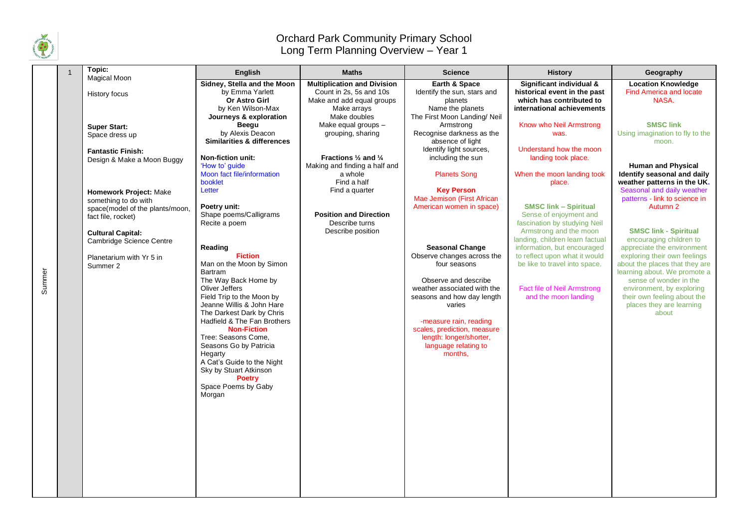

Summer

## Orchard Park Community Primary School Long Term Planning Overview – Year 1

| Topic:                                                                                                                                                                                                                                                                                                     | <b>English</b>                                                                                                                                                                                                                                                                                                                                                                                         | <b>Maths</b>                                                                                                                                                                                                                                                                                                                                                            | <b>Science</b>                                                                                                                                                                                                                                                                                                                                            | <b>History</b>                                                                                                                                                                                                                                                                                                                                                                                                                        | Geography                                                                                                                                                                                                                                                                                                                                                                                           |
|------------------------------------------------------------------------------------------------------------------------------------------------------------------------------------------------------------------------------------------------------------------------------------------------------------|--------------------------------------------------------------------------------------------------------------------------------------------------------------------------------------------------------------------------------------------------------------------------------------------------------------------------------------------------------------------------------------------------------|-------------------------------------------------------------------------------------------------------------------------------------------------------------------------------------------------------------------------------------------------------------------------------------------------------------------------------------------------------------------------|-----------------------------------------------------------------------------------------------------------------------------------------------------------------------------------------------------------------------------------------------------------------------------------------------------------------------------------------------------------|---------------------------------------------------------------------------------------------------------------------------------------------------------------------------------------------------------------------------------------------------------------------------------------------------------------------------------------------------------------------------------------------------------------------------------------|-----------------------------------------------------------------------------------------------------------------------------------------------------------------------------------------------------------------------------------------------------------------------------------------------------------------------------------------------------------------------------------------------------|
| Magical Moon<br>History focus<br><b>Super Start:</b><br>Space dress up<br><b>Fantastic Finish:</b><br>Design & Make a Moon Buggy<br><b>Homework Project: Make</b><br>something to do with<br>space(model of the plants/moon,<br>fact file, rocket)<br><b>Cultural Capital:</b><br>Cambridge Science Centre | Sidney, Stella and the Moon<br>by Emma Yarlett<br>Or Astro Girl<br>by Ken Wilson-Max<br>Journeys & exploration<br>Beegu<br>by Alexis Deacon<br><b>Similarities &amp; differences</b><br><b>Non-fiction unit:</b><br>'How to' guide<br>Moon fact file/information<br>booklet<br>Letter<br>Poetry unit:<br>Shape poems/Calligrams<br>Recite a poem<br>Reading<br><b>Fiction</b>                          | <b>Multiplication and Division</b><br>Count in 2s, 5s and 10s<br>Make and add equal groups<br>Make arrays<br>Make doubles<br>Make equal groups -<br>grouping, sharing<br>Fractions $\frac{1}{2}$ and $\frac{1}{4}$<br>Making and finding a half and<br>a whole<br>Find a half<br>Find a quarter<br><b>Position and Direction</b><br>Describe turns<br>Describe position | Earth & Space<br>Identify the sun, stars and<br>planets<br>Name the planets<br>The First Moon Landing/ Neil<br>Armstrong<br>Recognise darkness as the<br>absence of light<br>Identify light sources,<br>including the sun<br><b>Planets Song</b><br><b>Key Person</b><br>Mae Jemison (First African<br>American women in space)<br><b>Seasonal Change</b> | Significant individual &<br>historical event in the past<br>which has contributed to<br>international achievements<br>Know who Neil Armstrong<br>was.<br>Understand how the moon<br>landing took place.<br>When the moon landing took<br>place.<br><b>SMSC link - Spiritual</b><br>Sense of enjoyment and<br>fascination by studying Neil<br>Armstrong and the moon<br>landing, children learn factual<br>information, but encouraged | <b>Location Knowledge</b><br><b>Find America and locate</b><br>NASA.<br><b>SMSC link</b><br>Using imagination to fly to the<br>moon.<br><b>Human and Physical</b><br>Identify seasonal and daily<br>weather patterns in the UK.<br>Seasonal and daily weather<br>patterns - link to science in<br>Autumn 2<br><b>SMSC link - Spiritual</b><br>encouraging children to<br>appreciate the environment |
| Planetarium with Yr 5 in<br>Summer 2                                                                                                                                                                                                                                                                       | Man on the Moon by Simon<br><b>Bartram</b><br>The Way Back Home by<br>Oliver Jeffers<br>Field Trip to the Moon by<br>Jeanne Willis & John Hare<br>The Darkest Dark by Chris<br>Hadfield & The Fan Brothers<br><b>Non-Fiction</b><br>Tree: Seasons Come,<br>Seasons Go by Patricia<br>Hegarty<br>A Cat's Guide to the Night<br>Sky by Stuart Atkinson<br><b>Poetry</b><br>Space Poems by Gaby<br>Morgan |                                                                                                                                                                                                                                                                                                                                                                         | Observe changes across the<br>four seasons<br>Observe and describe<br>weather associated with the<br>seasons and how day length<br>varies<br>-measure rain, reading<br>scales, prediction, measure<br>length: longer/shorter,<br>language relating to<br>months.                                                                                          | to reflect upon what it would<br>be like to travel into space.<br>Fact file of Neil Armstrong<br>and the moon landing                                                                                                                                                                                                                                                                                                                 | exploring their own feelings<br>about the places that they are<br>learning about. We promote a<br>sense of wonder in the<br>environment, by exploring<br>their own feeling about the<br>places they are learning<br>about                                                                                                                                                                           |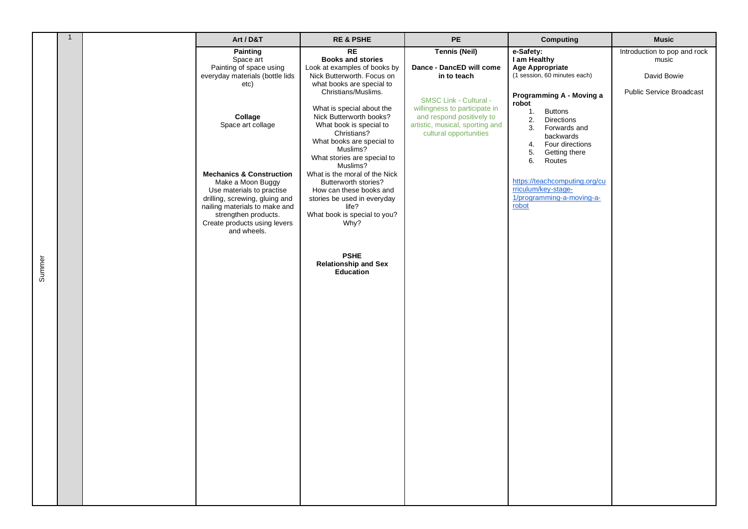|        | $\mathbf{1}$ | Art / D&T                                                                                                                                                                                | <b>RE &amp; PSHE</b>                                                                                                                                                                                            | PE                                                                                                                                                             | <b>Computing</b>                                                                                                                                 | <b>Music</b>                                                                            |
|--------|--------------|------------------------------------------------------------------------------------------------------------------------------------------------------------------------------------------|-----------------------------------------------------------------------------------------------------------------------------------------------------------------------------------------------------------------|----------------------------------------------------------------------------------------------------------------------------------------------------------------|--------------------------------------------------------------------------------------------------------------------------------------------------|-----------------------------------------------------------------------------------------|
|        |              | <b>Painting</b><br>Space art<br>Painting of space using<br>everyday materials (bottle lids<br>etc)<br>Collage                                                                            | <b>RE</b><br><b>Books and stories</b><br>Look at examples of books by<br>Nick Butterworth. Focus on<br>what books are special to<br>Christians/Muslims.<br>What is special about the<br>Nick Butterworth books? | <b>Tennis (Neil)</b><br>Dance - DancED will come<br>in to teach<br><b>SMSC Link - Cultural -</b><br>willingness to participate in<br>and respond positively to | e-Safety:<br>I am Healthy<br><b>Age Appropriate</b><br>(1 session, 60 minutes each)<br>Programming A - Moving a<br>robot<br><b>Buttons</b><br>1. | Introduction to pop and rock<br>music<br>David Bowie<br><b>Public Service Broadcast</b> |
|        |              | Space art collage<br><b>Mechanics &amp; Construction</b>                                                                                                                                 | What book is special to<br>Christians?<br>What books are special to<br>Muslims?<br>What stories are special to<br>Muslims?<br>What is the moral of the Nick                                                     | artistic, musical, sporting and<br>cultural opportunities                                                                                                      | 2.<br>Directions<br>3.<br>Forwards and<br>backwards<br>Four directions<br>4.<br>5.<br>Getting there<br>6.<br>Routes                              |                                                                                         |
|        |              | Make a Moon Buggy<br>Use materials to practise<br>drilling, screwing, gluing and<br>nailing materials to make and<br>strengthen products.<br>Create products using levers<br>and wheels. | Butterworth stories?<br>How can these books and<br>stories be used in everyday<br>life?<br>What book is special to you?<br>Why?                                                                                 |                                                                                                                                                                | https://teachcomputing.org/cu<br>rriculum/key-stage-<br>1/programming-a-moving-a-<br>robot                                                       |                                                                                         |
| Summer |              |                                                                                                                                                                                          | <b>PSHE</b><br><b>Relationship and Sex</b><br>Education                                                                                                                                                         |                                                                                                                                                                |                                                                                                                                                  |                                                                                         |
|        |              |                                                                                                                                                                                          |                                                                                                                                                                                                                 |                                                                                                                                                                |                                                                                                                                                  |                                                                                         |
|        |              |                                                                                                                                                                                          |                                                                                                                                                                                                                 |                                                                                                                                                                |                                                                                                                                                  |                                                                                         |
|        |              |                                                                                                                                                                                          |                                                                                                                                                                                                                 |                                                                                                                                                                |                                                                                                                                                  |                                                                                         |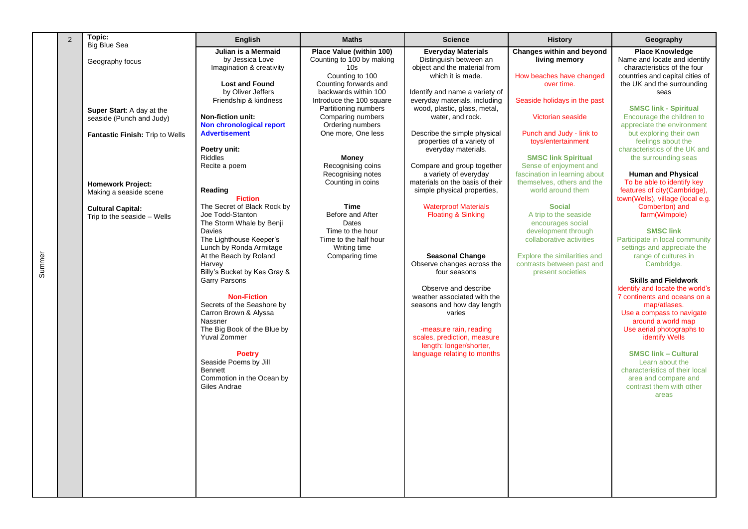| 2 | Topic:<br><b>Big Blue Sea</b>                                                            | <b>English</b>                                                                                                                                                              | <b>Maths</b>                                                                                                                                                                        | <b>Science</b>                                                                                                                                                                                         | <b>History</b>                                                                                                                                              | Geography                                                                                                                                                                                                         |
|---|------------------------------------------------------------------------------------------|-----------------------------------------------------------------------------------------------------------------------------------------------------------------------------|-------------------------------------------------------------------------------------------------------------------------------------------------------------------------------------|--------------------------------------------------------------------------------------------------------------------------------------------------------------------------------------------------------|-------------------------------------------------------------------------------------------------------------------------------------------------------------|-------------------------------------------------------------------------------------------------------------------------------------------------------------------------------------------------------------------|
|   | Geography focus                                                                          | Julian is a Mermaid<br>by Jessica Love<br>Imagination & creativity                                                                                                          | Place Value (within 100)<br>Counting to 100 by making<br>10s                                                                                                                        | <b>Everyday Materials</b><br>Distinguish between an<br>object and the material from                                                                                                                    | Changes within and beyond<br>living memory                                                                                                                  | <b>Place Knowledge</b><br>Name and locate and identify<br>characteristics of the four                                                                                                                             |
|   | Super Start: A day at the<br>seaside (Punch and Judy)<br>Fantastic Finish: Trip to Wells | <b>Lost and Found</b><br>by Oliver Jeffers<br>Friendship & kindness<br><b>Non-fiction unit:</b><br>Non chronological report<br><b>Advertisement</b>                         | Counting to 100<br>Counting forwards and<br>backwards within 100<br>Introduce the 100 square<br>Partitioning numbers<br>Comparing numbers<br>Ordering numbers<br>One more, One less | which it is made.<br>Identify and name a variety of<br>everyday materials, including<br>wood, plastic, glass, metal,<br>water, and rock.<br>Describe the simple physical<br>properties of a variety of | How beaches have changed<br>over time.<br>Seaside holidays in the past<br>Victorian seaside<br>Punch and Judy - link to<br>toys/entertainment               | countries and capital cities of<br>the UK and the surrounding<br>seas<br><b>SMSC link - Spiritual</b><br>Encourage the children to<br>appreciate the environment<br>but exploring their own<br>feelings about the |
|   |                                                                                          | Poetry unit:<br><b>Riddles</b><br>Recite a poem                                                                                                                             | Money<br>Recognising coins<br>Recognising notes                                                                                                                                     | everyday materials.<br>Compare and group together<br>a variety of everyday                                                                                                                             | <b>SMSC link Spiritual</b><br>Sense of enjoyment and<br>fascination in learning about                                                                       | characteristics of the UK and<br>the surrounding seas<br><b>Human and Physical</b>                                                                                                                                |
|   | <b>Homework Project:</b><br>Making a seaside scene<br><b>Cultural Capital:</b>           | Reading<br><b>Fiction</b><br>The Secret of Black Rock by                                                                                                                    | Counting in coins<br><b>Time</b>                                                                                                                                                    | materials on the basis of their<br>simple physical properties,<br><b>Waterproof Materials</b>                                                                                                          | themselves, others and the<br>world around them<br><b>Social</b>                                                                                            | To be able to identify key<br>features of city(Cambridge),<br>town(Wells), village (local e.g.<br>Comberton) and                                                                                                  |
|   | Trip to the seaside - Wells                                                              | Joe Todd-Stanton<br>The Storm Whale by Benji<br>Davies<br>The Lighthouse Keeper's<br>Lunch by Ronda Armitage<br>At the Beach by Roland<br>Harvey                            | Before and After<br>Dates<br>Time to the hour<br>Time to the half hour<br>Writing time<br>Comparing time                                                                            | <b>Floating &amp; Sinking</b><br><b>Seasonal Change</b><br>Observe changes across the                                                                                                                  | A trip to the seaside<br>encourages social<br>development through<br>collaborative activities<br>Explore the similarities and<br>contrasts between past and | farm(Wimpole)<br><b>SMSC link</b><br>Participate in local community<br>settings and appreciate the<br>range of cultures in<br>Cambridge.                                                                          |
|   |                                                                                          | Billy's Bucket by Kes Gray &<br><b>Garry Parsons</b><br><b>Non-Fiction</b><br>Secrets of the Seashore by<br>Carron Brown & Alyssa<br>Nassner<br>The Big Book of the Blue by |                                                                                                                                                                                     | four seasons<br>Observe and describe<br>weather associated with the<br>seasons and how day length<br>varies<br>-measure rain, reading                                                                  | present societies                                                                                                                                           | <b>Skills and Fieldwork</b><br>Identify and locate the world's<br>7 continents and oceans on a<br>map/atlases.<br>Use a compass to navigate<br>around a world map<br>Use aerial photographs to                    |
|   |                                                                                          | Yuval Zommer<br><b>Poetry</b><br>Seaside Poems by Jill<br><b>Bennett</b><br>Commotion in the Ocean by<br>Giles Andrae                                                       |                                                                                                                                                                                     | scales, prediction, measure<br>length: longer/shorter,<br>language relating to months                                                                                                                  |                                                                                                                                                             | identify Wells<br><b>SMSC link - Cultural</b><br>Learn about the<br>characteristics of their local<br>area and compare and<br>contrast them with other<br>areas                                                   |
|   |                                                                                          |                                                                                                                                                                             |                                                                                                                                                                                     |                                                                                                                                                                                                        |                                                                                                                                                             |                                                                                                                                                                                                                   |
|   |                                                                                          |                                                                                                                                                                             |                                                                                                                                                                                     |                                                                                                                                                                                                        |                                                                                                                                                             |                                                                                                                                                                                                                   |

Summer